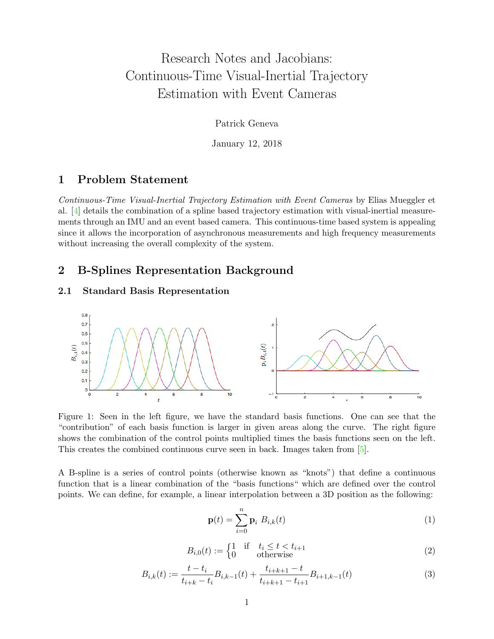# Research Notes and Jacobians: Continuous-Time Visual-Inertial Trajectory Estimation with Event Cameras

Patrick Geneva

January 12, 2018

### 1 Problem Statement

Continuous-Time Visual-Inertial Trajectory Estimation with Event Cameras by Elias Mueggler et al. [\[4\]](#page-10-0) details the combination of a spline based trajectory estimation with visual-inertial measurements through an IMU and an event based camera. This continuous-time based system is appealing since it allows the incorporation of asynchronous measurements and high frequency measurements without increasing the overall complexity of the system.

### 2 B-Splines Representation Background

### <span id="page-0-1"></span>2.1 Standard Basis Representation



Figure 1: Seen in the left figure, we have the standard basis functions. One can see that the "contribution" of each basis function is larger in given areas along the curve. The right figure shows the combination of the control points multiplied times the basis functions seen on the left. This creates the combined continuous curve seen in back. Images taken from [\[5\]](#page-10-1).

A B-spline is a series of control points (otherwise known as "knots") that define a continuous function that is a linear combination of the "basis functions" which are defined over the control points. We can define, for example, a linear interpolation between a 3D position as the following:

$$
\mathbf{p}(t) = \sum_{i=0}^{n} \mathbf{p}_i B_{i,k}(t) \tag{1}
$$

$$
B_{i,0}(t) := \begin{cases} 1 & \text{if } t_i \le t < t_{i+1} \\ 0 & \text{otherwise} \end{cases} \tag{2}
$$

<span id="page-0-0"></span>
$$
B_{i,k}(t) := \frac{t - t_i}{t_{i+k} - t_i} B_{i,k-1}(t) + \frac{t_{i+k+1} - t}{t_{i+k+1} - t_{i+1}} B_{i+1,k-1}(t)
$$
(3)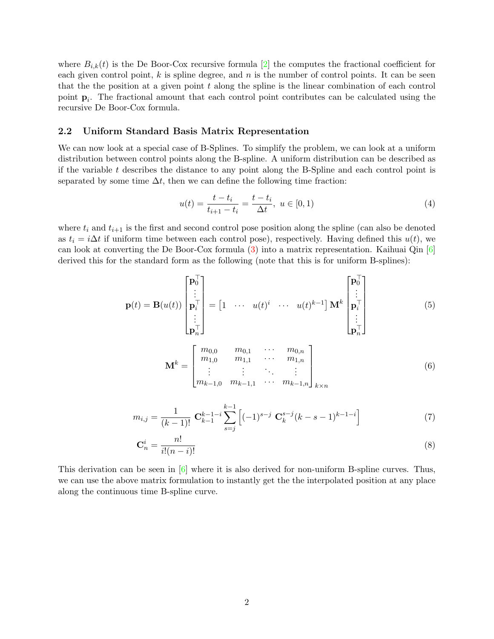where  $B_{i,k}(t)$  is the De Boor-Cox recursive formula [\[2\]](#page-10-2) the computes the fractional coefficient for each given control point,  $k$  is spline degree, and  $n$  is the number of control points. It can be seen that the the position at a given point  $t$  along the spline is the linear combination of each control point  $\mathbf{p}_i$ . The fractional amount that each control point contributes can be calculated using the recursive De Boor-Cox formula.

#### 2.2 Uniform Standard Basis Matrix Representation

We can now look at a special case of B-Splines. To simplify the problem, we can look at a uniform distribution between control points along the B-spline. A uniform distribution can be described as if the variable  $t$  describes the distance to any point along the B-Spline and each control point is separated by some time  $\Delta t$ , then we can define the following time fraction:

$$
u(t) = \frac{t - t_i}{t_{i+1} - t_i} = \frac{t - t_i}{\Delta t}, \ u \in [0, 1)
$$
\n<sup>(4)</sup>

where  $t_i$  and  $t_{i+1}$  is the first and second control pose position along the spline (can also be denoted as  $t_i = i\Delta t$  if uniform time between each control pose), respectively. Having defined this  $u(t)$ , we can look at converting the De Boor-Cox formula [\(3\)](#page-0-0) into a matrix representation. Kaihuai Qin [\[6\]](#page-10-3) derived this for the standard form as the following (note that this is for uniform B-splines):

$$
\mathbf{p}(t) = \mathbf{B}(u(t)) \begin{bmatrix} \mathbf{p}_0^{\top} \\ \vdots \\ \mathbf{p}_i^{\top} \\ \vdots \\ \mathbf{p}_n^{\top} \end{bmatrix} = \begin{bmatrix} 1 & \cdots & u(t)^i & \cdots & u(t)^{k-1} \end{bmatrix} \mathbf{M}^k \begin{bmatrix} \mathbf{p}_0^{\top} \\ \vdots \\ \mathbf{p}_i^{\top} \\ \vdots \\ \mathbf{p}_n^{\top} \end{bmatrix}
$$
(5)

$$
\mathbf{M}^{k} = \begin{bmatrix} m_{0,0} & m_{0,1} & \cdots & m_{0,n} \\ m_{1,0} & m_{1,1} & \cdots & m_{1,n} \\ \vdots & \vdots & \ddots & \vdots \\ m_{k-1,0} & m_{k-1,1} & \cdots & m_{k-1,n} \end{bmatrix}_{k \times n}
$$
 (6)

$$
m_{i,j} = \frac{1}{(k-1)!} \mathbf{C}_{k-1}^{k-1-i} \sum_{s=j}^{k-1} \left[ (-1)^{s-j} \mathbf{C}_k^{s-j} (k-s-1)^{k-1-i} \right] \tag{7}
$$

$$
\mathbf{C}_n^i = \frac{n!}{i!(n-i)!} \tag{8}
$$

This derivation can be seen in  $\lceil 6 \rceil$  where it is also derived for non-uniform B-spline curves. Thus, we can use the above matrix formulation to instantly get the the interpolated position at any place along the continuous time B-spline curve.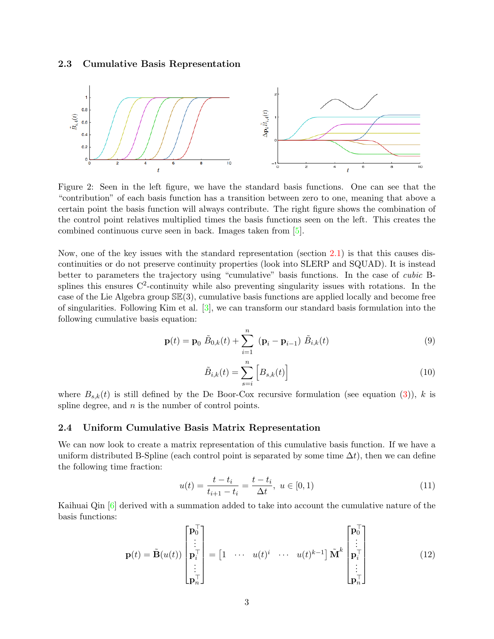### 2.3 Cumulative Basis Representation



Figure 2: Seen in the left figure, we have the standard basis functions. One can see that the "contribution" of each basis function has a transition between zero to one, meaning that above a certain point the basis function will always contribute. The right figure shows the combination of the control point relatives multiplied times the basis functions seen on the left. This creates the combined continuous curve seen in back. Images taken from [\[5\]](#page-10-1).

Now, one of the key issues with the standard representation (section [2.1\)](#page-0-1) is that this causes discontinuities or do not preserve continuity properties (look into SLERP and SQUAD). It is instead better to parameters the trajectory using "cumulative" basis functions. In the case of cubic Bsplines this ensures  $\mathbb{C}^2$ -continuity while also preventing singularity issues with rotations. In the case of the Lie Algebra group  $\mathbb{SE}(3)$ , cumulative basis functions are applied locally and become free of singularities. Following Kim et al. [\[3\]](#page-10-4), we can transform our standard basis formulation into the following cumulative basis equation:

$$
\mathbf{p}(t) = \mathbf{p}_0 \; \tilde{B}_{0,k}(t) + \sum_{i=1}^{n} \; (\mathbf{p}_i - \mathbf{p}_{i-1}) \; \tilde{B}_{i,k}(t) \tag{9}
$$

<span id="page-2-0"></span>
$$
\tilde{B}_{i,k}(t) = \sum_{s=i}^{n} \left[ B_{s,k}(t) \right]
$$
\n(10)

where  $B_{s,k}(t)$  is still defined by the De Boor-Cox recursive formulation (see equation [\(3\)](#page-0-0)), k is spline degree, and  $n$  is the number of control points.

#### 2.4 Uniform Cumulative Basis Matrix Representation

We can now look to create a matrix representation of this cumulative basis function. If we have a uniform distributed B-Spline (each control point is separated by some time  $\Delta t$ ), then we can define the following time fraction:

$$
u(t) = \frac{t - t_i}{t_{i+1} - t_i} = \frac{t - t_i}{\Delta t}, \ u \in [0, 1)
$$
\n(11)

Kaihuai Qin [\[6\]](#page-10-3) derived with a summation added to take into account the cumulative nature of the basis functions:

$$
\mathbf{p}(t) = \tilde{\mathbf{B}}(u(t)) \begin{bmatrix} \mathbf{p}_0^{\top} \\ \vdots \\ \mathbf{p}_i^{\top} \\ \vdots \\ \mathbf{p}_n^{\top} \end{bmatrix} = \begin{bmatrix} 1 & \cdots & u(t)^i & \cdots & u(t)^{k-1} \end{bmatrix} \tilde{\mathbf{M}}^k \begin{bmatrix} \mathbf{p}_0^{\top} \\ \vdots \\ \mathbf{p}_i^{\top} \\ \vdots \\ \mathbf{p}_n^{\top} \end{bmatrix}
$$
(12)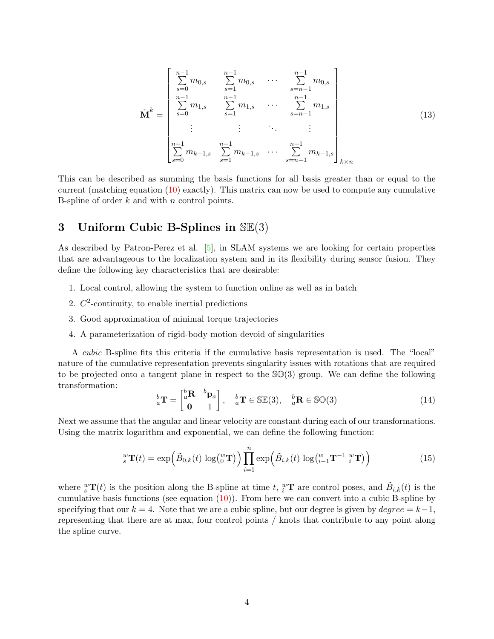$$
\tilde{\mathbf{M}}^{k} = \begin{bmatrix} n-1 & n-1 & n-1 & n-1 & n-1 \\ \sum_{s=0}^{n-1} m_{0,s} & \sum_{s=1}^{n-1} m_{0,s} & \cdots & \sum_{s=n-1}^{n-1} m_{0,s} \\ \sum_{s=0}^{n-1} m_{1,s} & \sum_{s=1}^{n-1} m_{1,s} & \cdots & \sum_{s=n-1}^{n-1} m_{1,s} \\ \vdots & \vdots & \ddots & \vdots \\ \sum_{s=0}^{n-1} m_{k-1,s} & \sum_{s=1}^{n-1} m_{k-1,s} & \cdots & \sum_{s=n-1}^{n-1} m_{k-1,s} \\ \end{bmatrix}_{k \times n} (13)
$$

This can be described as summing the basis functions for all basis greater than or equal to the current (matching equation [\(10\)](#page-2-0) exactly). This matrix can now be used to compute any cumulative B-spline of order  $k$  and with  $n$  control points.

## 3 Uniform Cubic B-Splines in  $\mathbb{SE}(3)$

As described by Patron-Perez et al.  $[5]$ , in SLAM systems we are looking for certain properties that are advantageous to the localization system and in its flexibility during sensor fusion. They define the following key characteristics that are desirable:

- 1. Local control, allowing the system to function online as well as in batch
- 2.  $C^2$ -continuity, to enable inertial predictions
- 3. Good approximation of minimal torque trajectories
- 4. A parameterization of rigid-body motion devoid of singularities

A cubic B-spline fits this criteria if the cumulative basis representation is used. The "local" nature of the cumulative representation prevents singularity issues with rotations that are required to be projected onto a tangent plane in respect to the  $\mathcal{SO}(3)$  group. We can define the following transformation:

$$
\,_{a}^{b}\mathbf{T} = \begin{bmatrix} {^{b}\mathbf{R}} & {^{b}\mathbf{p}}_{a} \\ \mathbf{0} & 1 \end{bmatrix}, \quad\n_{a}^{b}\mathbf{T} \in \mathbb{SE}(3), \quad\n_{a}^{b}\mathbf{R} \in \mathbb{SO}(3) \tag{14}
$$

Next we assume that the angular and linear velocity are constant during each of our transformations. Using the matrix logarithm and exponential, we can define the following function:

<span id="page-3-0"></span>
$$
{}_{s}^{w}\mathbf{T}(t) = \exp\left(\tilde{B}_{0,k}(t)\,\log\left(\begin{matrix}w\\0\end{matrix}\right)\right)\prod_{i=1}^{n}\exp\left(\tilde{B}_{i,k}(t)\,\log\left(\begin{matrix}w\\i-1\end{matrix}\mathbf{T}^{-1}\,{}_{i}^{w}\mathbf{T}\right)\right) \tag{15}
$$

where  ${}_{s}^{w}\mathbf{T}(t)$  is the position along the B-spline at time t,  ${}_{i}^{w}\mathbf{T}$  are control poses, and  $\tilde{B}_{i,k}(t)$  is the cumulative basis functions (see equation  $(10)$ ). From here we can convert into a cubic B-spline by specifying that our  $k = 4$ . Note that we are a cubic spline, but our degree is given by  $degree = k-1$ , representing that there are at max, four control points / knots that contribute to any point along the spline curve.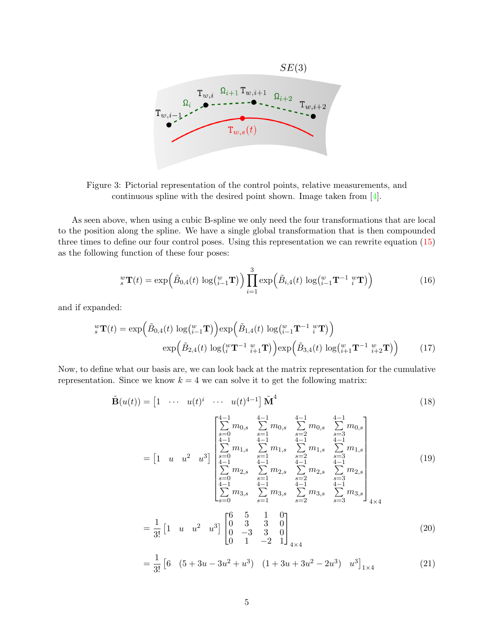<span id="page-4-1"></span>

Figure 3: Pictorial representation of the control points, relative measurements, and continuous spline with the desired point shown. Image taken from [\[4\]](#page-10-0).

As seen above, when using a cubic B-spline we only need the four transformations that are local to the position along the spline. We have a single global transformation that is then compounded three times to define our four control poses. Using this representation we can rewrite equation [\(15\)](#page-3-0) as the following function of these four poses:

$$
{}_{s}^{w}\mathbf{T}(t) = \exp\left(\tilde{B}_{0,4}(t)\,\log\left(\frac{w}{i-1}\mathbf{T}\right)\right)\prod_{i=1}^{3}\exp\left(\tilde{B}_{i,4}(t)\,\log\left(\frac{w}{i-1}\mathbf{T}^{-1}\,{}_{i}^{w}\mathbf{T}\right)\right) \tag{16}
$$

and if expanded:

$$
\begin{aligned} \n\,^w \mathbf{T}(t) &= \exp\Big( \tilde{B}_{0,4}(t) \, \log\big( \, w_{i-1} \mathbf{T} \big) \Big) \exp\Big( \tilde{B}_{1,4}(t) \, \log\big( \, w_{i-1} \mathbf{T}^{-1} \, w_{i} \mathbf{T} \big) \Big) \\ \n&\exp\Big( \tilde{B}_{2,4}(t) \, \log\big( \, w_{i} \mathbf{T}^{-1} \, w_{i+1} \mathbf{T} \big) \Big) \exp\Big( \tilde{B}_{3,4}(t) \, \log\big( \, w_{i+1} \mathbf{T}^{-1} \, w_{i+2} \mathbf{T} \big) \Big) \end{aligned} \tag{17}
$$

Now, to define what our basis are, we can look back at the matrix representation for the cumulative representation. Since we know  $k = 4$  we can solve it to get the following matrix:

$$
\tilde{\mathbf{B}}(u(t)) = \begin{bmatrix} 1 & \cdots & u(t)^i & \cdots & u(t)^{4-1} \end{bmatrix} \tilde{\mathbf{M}}^4
$$
\n(18)

<span id="page-4-0"></span>
$$
= \begin{bmatrix} 1 & u & u^2 & u^3 \end{bmatrix} \begin{bmatrix} \sum_{s=0}^{4-1} m_{0,s} & \sum_{s=1}^{4-1} m_{0,s} & \sum_{s=2}^{4-1} m_{0,s} \\ \sum_{s=0}^{4-1} m_{1,s} & \sum_{s=1}^{4-1} m_{1,s} & \sum_{s=2}^{4-1} m_{1,s} & \sum_{s=3}^{4-1} m_{1,s} \\ \sum_{s=0}^{4-1} m_{2,s} & \sum_{s=1}^{4-1} m_{2,s} & \sum_{s=2}^{4-1} m_{2,s} & \sum_{s=3}^{4-1} m_{2,s} \\ \sum_{s=0}^{4-1} m_{3,s} & \sum_{s=1}^{4-1} m_{3,s} & \sum_{s=2}^{4-1} m_{3,s} & \sum_{s=3}^{4-1} m_{3,s} \end{bmatrix}
$$
(19)

$$
= \frac{1}{3!} \begin{bmatrix} 1 & u & u^2 & u^3 \end{bmatrix} \begin{bmatrix} 6 & 5 & 1 & 0 \\ 0 & 3 & 3 & 0 \\ 0 & -3 & 3 & 0 \\ 0 & 1 & -2 & 1 \end{bmatrix}_{4 \times 4}
$$
 (20)

$$
= \frac{1}{3!} \left[ 6 \quad (5+3u-3u^2+u^3) \quad (1+3u+3u^2-2u^3) \quad u^3 \right]_{1\times 4} \tag{21}
$$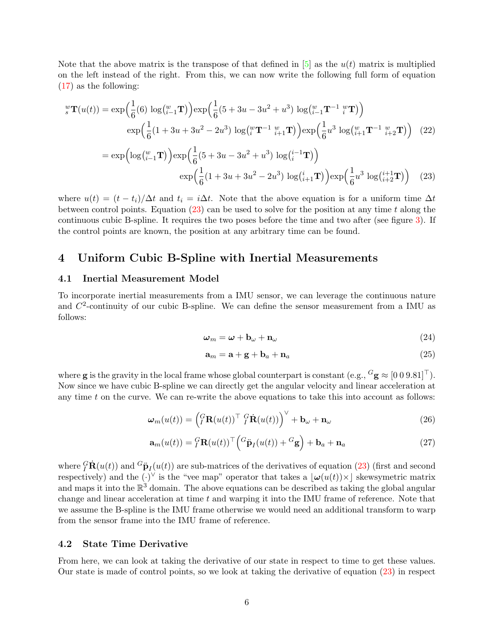Note that the above matrix is the transpose of that defined in  $[5]$  as the  $u(t)$  matrix is multiplied on the left instead of the right. From this, we can now write the following full form of equation [\(17\)](#page-4-0) as the following:

$$
\begin{split} \n\int_{s}^{w} \mathbf{T}(u(t)) &= \exp\left(\frac{1}{6}(6)\log\left(\frac{w}{i-1}\mathbf{T}\right)\right) \exp\left(\frac{1}{6}(5+3u-3u^{2}+u^{3})\log\left(\frac{w}{i-1}\mathbf{T}^{-1}\right)\frac{w}{i}\mathbf{T}\right) \\ \n&\exp\left(\frac{1}{6}(1+3u+3u^{2}-2u^{3})\log\left(\frac{w}{i}\mathbf{T}^{-1}\right)\frac{w}{i+1}\mathbf{T}\right)\right) \exp\left(\frac{1}{6}u^{3}\log\left(\frac{w}{i+1}\mathbf{T}^{-1}\right)\frac{w}{i+2}\mathbf{T}\right) \tag{22} \\ \n&= \exp\left(\log\left(\frac{w}{i-1}\mathbf{T}\right)\right) \exp\left(\frac{1}{6}(5+3u-3u^{2}+u^{3})\log\left(\frac{i-1}{i}\mathbf{T}\right)\right) \\ \n&\exp\left(\frac{1}{6}(1+3u+3u^{2}-2u^{3})\log\left(\frac{i}{i+1}\mathbf{T}\right)\right) \exp\left(\frac{1}{6}u^{3}\log\left(\frac{i+1}{i+2}\mathbf{T}\right)\right) \tag{23} \n\end{split}
$$

where  $u(t) = (t - t_i)/\Delta t$  and  $t_i = i\Delta t$ . Note that the above equation is for a uniform time  $\Delta t$ between control points. Equation  $(23)$  can be used to solve for the position at any time t along the continuous cubic B-spline. It requires the two poses before the time and two after (see figure [3\)](#page-4-1). If the control points are known, the position at any arbitrary time can be found.

### 4 Uniform Cubic B-Spline with Inertial Measurements

#### 4.1 Inertial Measurement Model

To incorporate inertial measurements from a IMU sensor, we can leverage the continuous nature and  $C^2$ -continuity of our cubic B-spline. We can define the sensor measurement from a IMU as follows:

<span id="page-5-0"></span>
$$
\omega_m = \omega + \mathbf{b}_\omega + \mathbf{n}_\omega \tag{24}
$$

$$
\mathbf{a}_m = \mathbf{a} + \mathbf{g} + \mathbf{b}_a + \mathbf{n}_a \tag{25}
$$

where **g** is the gravity in the local frame whose global counterpart is constant (e.g.,  ${}^G$ **g**  $\approx$  [0 0 9.81]<sup> $\top$ </sup>). Now since we have cubic B-spline we can directly get the angular velocity and linear acceleration at any time  $t$  on the curve. We can re-write the above equations to take this into account as follows:

$$
\boldsymbol{\omega}_m(u(t)) = \left(\begin{matrix} G \\ I \end{matrix} \mathbf{R}(u(t))^{\top} \, \, \begin{matrix} G \\ I \end{matrix} \dot{\mathbf{R}}(u(t)) \right)^{\vee} + \mathbf{b}_{\omega} + \mathbf{n}_{\omega} \tag{26}
$$

$$
\mathbf{a}_m(u(t)) = {}_I^G \mathbf{R}(u(t))^\top \left( {}^G \ddot{\mathbf{p}}_I(u(t)) + {}^G \mathbf{g} \right) + \mathbf{b}_a + \mathbf{n}_a \tag{27}
$$

where  ${}^G_I$ **R** $(u(t))$  and  ${}^G\ddot{\mathbf{p}}_I(u(t))$  are sub-matrices of the derivatives of equation [\(23\)](#page-5-0) (first and second respectively) and the  $(\cdot)^{\vee}$  is the "vee map" operator that takes a  $|\omega(u(t))\times|$  skewsymetric matrix and maps it into the  $\mathbb{R}^3$  domain. The above equations can be described as taking the global angular change and linear acceleration at time t and warping it into the IMU frame of reference. Note that we assume the B-spline is the IMU frame otherwise we would need an additional transform to warp from the sensor frame into the IMU frame of reference.

#### 4.2 State Time Derivative

From here, we can look at taking the derivative of our state in respect to time to get these values. Our state is made of control points, so we look at taking the derivative of equation [\(23\)](#page-5-0) in respect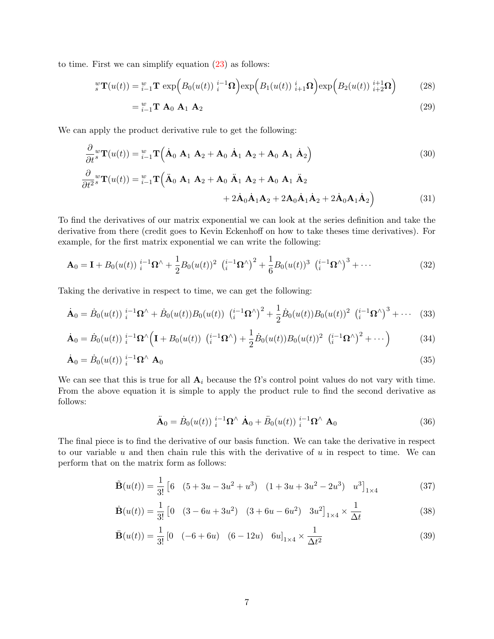to time. First we can simplify equation  $(23)$  as follows:

$$
{}_{s}^{w}\mathbf{T}(u(t)) = {}_{i-1}^{w}\mathbf{T} \exp\Big(B_{0}(u(t))\, {}_{i}^{i-1}\mathbf{\Omega}\Big) \exp\Big(B_{1}(u(t))\, {}_{i+1}^{i}\mathbf{\Omega}\Big) \exp\Big(B_{2}(u(t))\, {}_{i+2}^{i+1}\mathbf{\Omega}\Big) \tag{28}
$$

$$
=\,_{i=1}^{w}\mathbf{T}\,\,\mathbf{A}_{0}\,\,\mathbf{A}_{1}\,\,\mathbf{A}_{2}\tag{29}
$$

We can apply the product derivative rule to get the following:

$$
\frac{\partial}{\partial t}{}_{s}{}^{w}\mathbf{T}(u(t)) = {}_{i-1}{}^{w}\mathbf{T}\left(\dot{\mathbf{A}}_{0} \mathbf{A}_{1} \mathbf{A}_{2} + \mathbf{A}_{0} \dot{\mathbf{A}}_{1} \mathbf{A}_{2} + \mathbf{A}_{0} \mathbf{A}_{1} \dot{\mathbf{A}}_{2}\right)
$$
\n(30)\n
$$
\frac{\partial}{\partial t}{}_{s}{}^{w}\mathbf{T}(u(t)) = {}_{i-1}{}^{w}\mathbf{T}\left(\ddot{\mathbf{A}}_{0} \mathbf{A}_{1} \mathbf{A}_{2} + \mathbf{A}_{0} \ddot{\mathbf{A}}_{1} \mathbf{A}_{2} + \mathbf{A}_{0} \mathbf{A}_{1} \ddot{\mathbf{A}}_{2}\right)
$$

$$
+ 2\dot{\mathbf{A}}_0 \dot{\mathbf{A}}_1 \mathbf{A}_2 + 2\mathbf{A}_0 \dot{\mathbf{A}}_1 \dot{\mathbf{A}}_2 + 2\dot{\mathbf{A}}_0 \mathbf{A}_1 \dot{\mathbf{A}}_2 \bigg)
$$
 (31)

To find the derivatives of our matrix exponential we can look at the series definition and take the derivative from there (credit goes to Kevin Eckenhoff on how to take theses time derivatives). For example, for the first matrix exponential we can write the following:

$$
\mathbf{A}_0 = \mathbf{I} + B_0(u(t))\,i^{-1}\Omega^\wedge + \frac{1}{2}B_0(u(t))^2\,(\,i^{-1}\Omega^\wedge)^2 + \frac{1}{6}B_0(u(t))^3\,(\,i^{-1}\Omega^\wedge)^3 + \cdots \tag{32}
$$

Taking the derivative in respect to time, we can get the following:

$$
\dot{\mathbf{A}}_0 = \dot{B}_0(u(t)) \, \frac{i^{-1} \Omega^\wedge + \dot{B}_0(u(t)) B_0(u(t)) \, \left(\frac{i^{-1} \Omega^\wedge}{2}\right)^2 + \frac{1}{2} \dot{B}_0(u(t)) B_0(u(t))^2 \, \left(\frac{i^{-1} \Omega^\wedge}{2}\right)^3 + \cdots \quad (33)
$$

$$
\dot{\mathbf{A}}_0 = \dot{B}_0(u(t)) \, i^{-1} \Omega^{\wedge} \Big( \mathbf{I} + B_0(u(t)) \, \left( i^{-1} \Omega^{\wedge} \right) + \frac{1}{2} \dot{B}_0(u(t)) B_0(u(t))^2 \, \left( i^{-1} \Omega^{\wedge} \right)^2 + \cdots \Big) \tag{34}
$$

$$
\dot{\mathbf{A}}_0 = \dot{B}_0(u(t)) \, \, i^{-1} \Omega^\wedge \, \mathbf{A}_0 \tag{35}
$$

We can see that this is true for all  $A_i$  because the  $\Omega$ 's control point values do not vary with time. From the above equation it is simple to apply the product rule to find the second derivative as follows:

$$
\ddot{\mathbf{A}}_0 = \dot{B}_0(u(t)) \, \dot{i}^{-1} \Omega^\wedge \, \dot{\mathbf{A}}_0 + \ddot{B}_0(u(t)) \, \dot{i}^{-1} \Omega^\wedge \, \mathbf{A}_0 \tag{36}
$$

The final piece is to find the derivative of our basis function. We can take the derivative in respect to our variable  $u$  and then chain rule this with the derivative of  $u$  in respect to time. We can perform that on the matrix form as follows:

$$
\tilde{\mathbf{B}}(u(t)) = \frac{1}{3!} \begin{bmatrix} 6 & (5+3u-3u^2+u^3) & (1+3u+3u^2-2u^3) & u^3 \end{bmatrix}_{1\times 4}
$$
 (37)

$$
\dot{\mathbf{B}}(u(t)) = \frac{1}{3!} \begin{bmatrix} 0 & (3 - 6u + 3u^2) & (3 + 6u - 6u^2) & 3u^2 \end{bmatrix}_{1 \times 4} \times \frac{1}{\Delta t}
$$
 (38)

$$
\ddot{\mathbf{B}}(u(t)) = \frac{1}{3!} \begin{bmatrix} 0 & (-6+6u) & (6-12u) & 6u \end{bmatrix}_{1\times 4} \times \frac{1}{\Delta t^2}
$$
(39)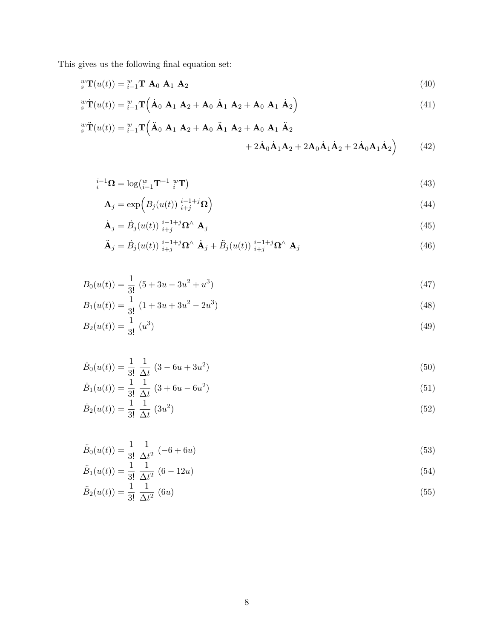This gives us the following final equation set:

$$
{}_{s}^{w}\mathbf{T}(u(t)) = {}_{i-1}^{w}\mathbf{T} \mathbf{A}_0 \mathbf{A}_1 \mathbf{A}_2
$$
\n(40)

$$
\mathbf{w}^{\mathbf{w}}\dot{\mathbf{T}}(u(t)) = \mathbf{w}_{i-1}\mathbf{T}\left(\dot{\mathbf{A}}_0 \mathbf{A}_1 \mathbf{A}_2 + \mathbf{A}_0 \dot{\mathbf{A}}_1 \mathbf{A}_2 + \mathbf{A}_0 \mathbf{A}_1 \dot{\mathbf{A}}_2\right)
$$
(41)

$$
\mathbf{F}_{s}^{w}\ddot{\mathbf{T}}(u(t)) = \mathbf{F}_{i-1}^{w}\mathbf{T}\left(\ddot{\mathbf{A}}_{0} \mathbf{A}_{1} \mathbf{A}_{2} + \mathbf{A}_{0} \ddot{\mathbf{A}}_{1} \mathbf{A}_{2} + \mathbf{A}_{0} \dot{\mathbf{A}}_{1} \ddot{\mathbf{A}}_{2} + 2\dot{\mathbf{A}}_{0} \dot{\mathbf{A}}_{1} \dot{\mathbf{A}}_{2} + 2\dot{\mathbf{A}}_{0} \dot{\mathbf{A}}_{1} \dot{\mathbf{A}}_{2} + 2\dot{\mathbf{A}}_{0} \dot{\mathbf{A}}_{1} \dot{\mathbf{A}}_{2} + (42)
$$
\n(42)

$$
i_i^{-1} \Omega = \log \left( \begin{matrix} w \\ i-1 \end{matrix} \mathbf{T}^{-1} \right) \mathbf{T} \tag{43}
$$

$$
\mathbf{A}_{j} = \exp\left(B_{j}(u(t))\, \substack{i-1+j \\ i+j} \mathbf{\Omega}\right) \tag{44}
$$

$$
\dot{\mathbf{A}}_j = \dot{B}_j(u(t)) \, \underset{i+j}{^{i-1+j}} \Omega^\wedge \, \mathbf{A}_j \tag{45}
$$

$$
\ddot{\mathbf{A}}_j = \dot{B}_j(u(t)) \, \dot{a}_{j}^{i-1+j} \Omega^\wedge \, \dot{\mathbf{A}}_j + \ddot{B}_j(u(t)) \, \dot{a}_{j}^{i-1+j} \Omega^\wedge \, \mathbf{A}_j \tag{46}
$$

$$
B_0(u(t)) = \frac{1}{3!} (5 + 3u - 3u^2 + u^3)
$$
\n(47)

$$
B_1(u(t)) = \frac{1}{3!} (1 + 3u + 3u^2 - 2u^3)
$$
\n(48)

$$
B_2(u(t)) = \frac{1}{3!} (u^3)
$$
\n(49)

$$
\dot{B}_0(u(t)) = \frac{1}{3!} \frac{1}{\Delta t} (3 - 6u + 3u^2)
$$
\n(50)

$$
\dot{B}_1(u(t)) = \frac{1}{3!} \frac{1}{\Delta t} (3 + 6u - 6u^2)
$$
\n(51)

$$
\dot{B}_2(u(t)) = \frac{1}{3!} \frac{1}{\Delta t} (3u^2)
$$
\n(52)

$$
\ddot{B}_0(u(t)) = \frac{1}{3!} \frac{1}{\Delta t^2} (-6+6u)
$$
\n(53)

$$
\ddot{B}_1(u(t)) = \frac{1}{3!} \frac{1}{\Delta t^2} (6 - 12u)
$$
\n(54)

$$
\ddot{B}_2(u(t)) = \frac{1}{3!} \frac{1}{\Delta t^2} (6u)
$$
\n(55)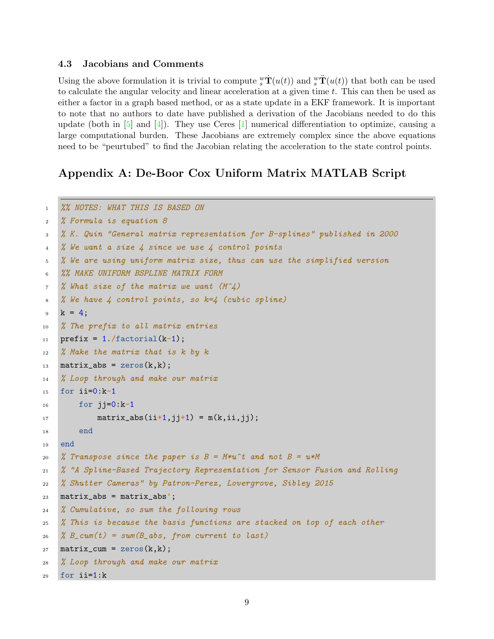### 4.3 Jacobians and Comments

Using the above formulation it is trivial to compute  $\mathbf{F}^w \dot{\mathbf{T}}(u(t))$  and  $\mathbf{F}^w \dot{\mathbf{T}}(u(t))$  that both can be used to calculate the angular velocity and linear acceleration at a given time t. This can then be used as either a factor in a graph based method, or as a state update in a EKF framework. It is important to note that no authors to date have published a derivation of the Jacobians needed to do this update (both in  $\lceil 5 \rceil$  and  $\lceil 4 \rceil$ ). They use Ceres  $\lceil 1 \rceil$  numerical differentiation to optimize, causing a large computational burden. These Jacobians are extremely complex since the above equations need to be "peurtubed" to find the Jacobian relating the acceleration to the state control points.

# Appendix A: De-Boor Cox Uniform Matrix MATLAB Script

```
1 %% NOTES: WHAT THIS IS BASED ON
2 % Formula is equation 8
3 % K. Quin "General matrix representation for B-splines" published in 2000
4 % We want a size 4 since we use 4 control points
5 % We are using uniform matrix size, thus can use the simplified version
6 %% MAKE UNIFORM BSPLINE MATRIX FORM
\frac{1}{2} % What size of the matrix we want (M^2)8 % We have 4 control points, so k=4 (cubic spline)
9 k = 4;
10 % The prefix to all matrix entries
11 prefix = 1./factorial(k-1);12 % Make the matrix that is k by k
13 matrix_abs = zeros(k, k);
14 % Loop through and make our matrix
15 for ii=0:k-1
_{16} for ji=0:k-117 matrix_abs(ii+1,jj+1) = m(k, i i, j j);
18 end
19 end
20 % Transpose since the paper is B = M*u^t and not B = u*M21 % "A Spline-Based Trajectory Representation for Sensor Fusion and Rolling
22 % Shutter Cameras" by Patron-Perez, Lovergrove, Sibley 2015
23 matrix_abs = matrix_abs';
24 % Cumulative, so sum the following rows
25 % This is because the basis functions are stacked on top of each other
26 % B_cum(t) = sum(B_abs, from current to last)
27 matrix_cum = zeros(k,k);
28 % Loop through and make our matrix
29 for ii=1:k
```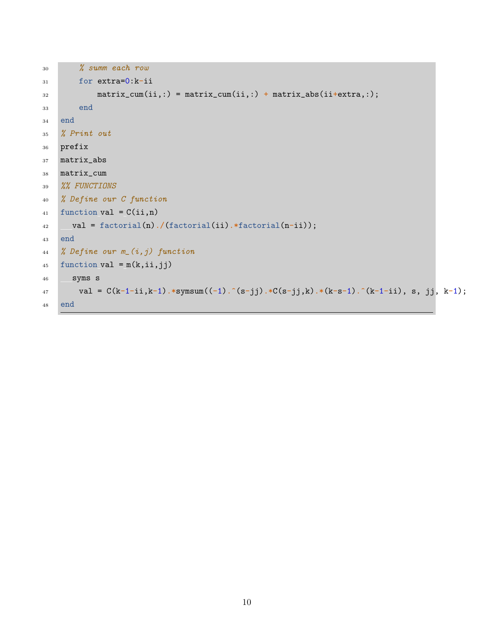```
30 % summ each row
31 for extra=0:k-ii
32 matrix_cum(ii,:) = matrix_cum(ii,:) + matrix_abs(ii+extra,:);
33 end
34 end
35 % Print out
36 prefix
37 matrix_abs
38 matrix_cum
39 %% FUNCTIONS
40 % Define our C function
41 function val = C(ii,n)42 val = factorial(n)./(factorial(ii).*factorial(n-ii));
43 end
44 % Define our m_(i,j) function
45 function val = m(k, ii, jj)46 syms s
val = C(k-1-i, k-1).*symsum((-1) \cdot (s-jj).*C(s-jj,k).*(k-s-1) \cdot (k-1-i), s, jj, k-1);
48 end
```